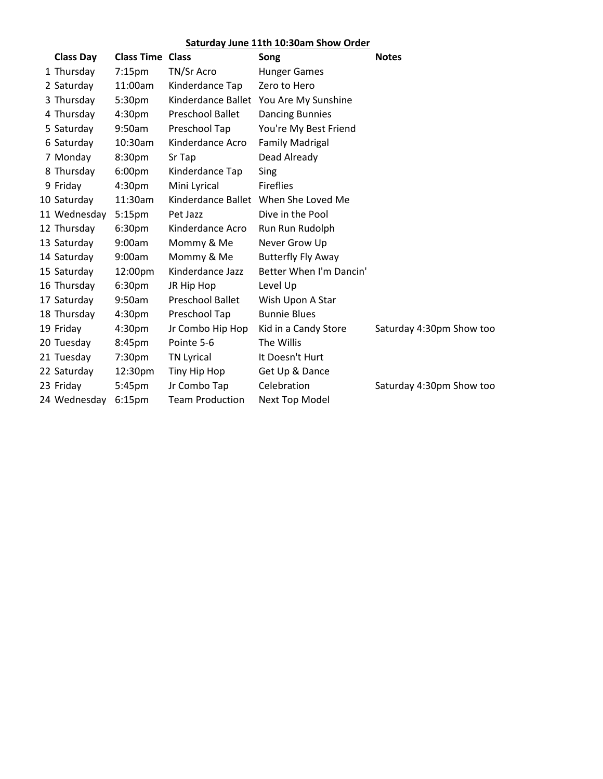## **Saturday June 11th 10:30am Show Order**

| <b>Class Day</b> | <b>Class Time Class</b> |                         | Song                                 | <b>Notes</b>             |
|------------------|-------------------------|-------------------------|--------------------------------------|--------------------------|
| 1 Thursday       | 7:15 <sub>pm</sub>      | TN/Sr Acro              | <b>Hunger Games</b>                  |                          |
| 2 Saturday       | 11:00am                 | Kinderdance Tap         | Zero to Hero                         |                          |
| 3 Thursday       | 5:30pm                  | Kinderdance Ballet      | You Are My Sunshine                  |                          |
| 4 Thursday       | 4:30 <sub>pm</sub>      | <b>Preschool Ballet</b> | <b>Dancing Bunnies</b>               |                          |
| 5 Saturday       | 9:50am                  | Preschool Tap           | You're My Best Friend                |                          |
| 6 Saturday       | 10:30am                 | Kinderdance Acro        | <b>Family Madrigal</b>               |                          |
| 7 Monday         | 8:30pm                  | Sr Tap                  | Dead Already                         |                          |
| 8 Thursday       | 6:00 <sub>pm</sub>      | Kinderdance Tap         | Sing                                 |                          |
| 9 Friday         | 4:30 <sub>pm</sub>      | Mini Lyrical            | <b>Fireflies</b>                     |                          |
| 10 Saturday      | 11:30am                 |                         | Kinderdance Ballet When She Loved Me |                          |
| 11 Wednesday     | 5:15 <sub>pm</sub>      | Pet Jazz                | Dive in the Pool                     |                          |
| 12 Thursday      | 6:30pm                  | Kinderdance Acro        | Run Run Rudolph                      |                          |
| 13 Saturday      | 9:00am                  | Mommy & Me              | Never Grow Up                        |                          |
| 14 Saturday      | 9:00am                  | Mommy & Me              | <b>Butterfly Fly Away</b>            |                          |
| 15 Saturday      | 12:00pm                 | Kinderdance Jazz        | Better When I'm Dancin'              |                          |
| 16 Thursday      | 6:30pm                  | JR Hip Hop              | Level Up                             |                          |
| 17 Saturday      | 9:50am                  | <b>Preschool Ballet</b> | Wish Upon A Star                     |                          |
| 18 Thursday      | 4:30pm                  | Preschool Tap           | <b>Bunnie Blues</b>                  |                          |
| 19 Friday        | 4:30pm                  | Jr Combo Hip Hop        | Kid in a Candy Store                 | Saturday 4:30pm Show too |
| 20 Tuesday       | 8:45pm                  | Pointe 5-6              | The Willis                           |                          |
| 21 Tuesday       | 7:30pm                  | <b>TN Lyrical</b>       | It Doesn't Hurt                      |                          |
| 22 Saturday      | 12:30pm                 | Tiny Hip Hop            | Get Up & Dance                       |                          |
| 23 Friday        | 5:45pm                  | Jr Combo Tap            | Celebration                          | Saturday 4:30pm Show too |
| 24 Wednesday     | 6:15 <sub>pm</sub>      | <b>Team Production</b>  | <b>Next Top Model</b>                |                          |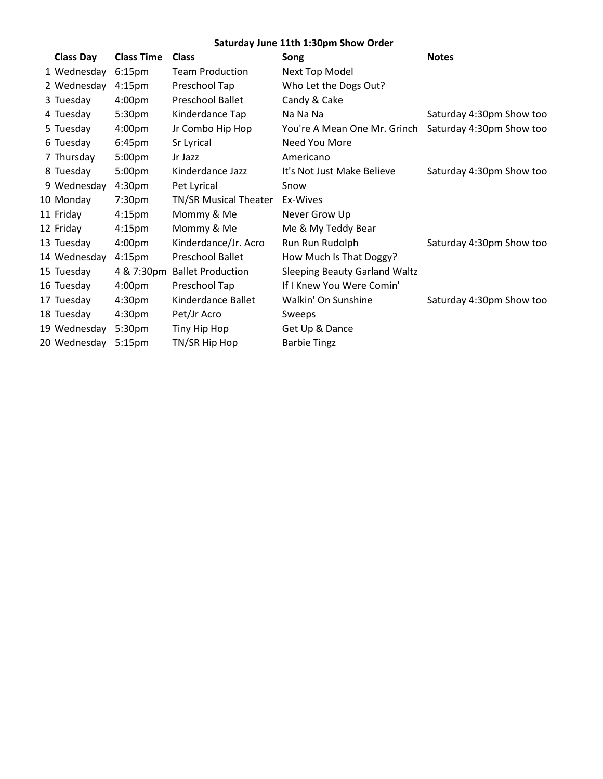## **Saturday June 11th 1:30pm Show Order**

| <b>Class Day</b> | <b>Class Time</b>  | <b>Class</b>                 | Song                                 | <b>Notes</b>             |
|------------------|--------------------|------------------------------|--------------------------------------|--------------------------|
| 1 Wednesday      | 6:15 <sub>pm</sub> | <b>Team Production</b>       | Next Top Model                       |                          |
| 2 Wednesday      | 4:15 <sub>pm</sub> | Preschool Tap                | Who Let the Dogs Out?                |                          |
| 3 Tuesday        | 4:00 <sub>pm</sub> | <b>Preschool Ballet</b>      | Candy & Cake                         |                          |
| 4 Tuesday        | 5:30pm             | Kinderdance Tap              | Na Na Na                             | Saturday 4:30pm Show too |
| 5 Tuesday        | 4:00pm             | Jr Combo Hip Hop             | You're A Mean One Mr. Grinch         | Saturday 4:30pm Show too |
| 6 Tuesday        | 6:45pm             | Sr Lyrical                   | Need You More                        |                          |
| 7 Thursday       | 5:00 <sub>pm</sub> | Jr Jazz                      | Americano                            |                          |
| 8 Tuesday        | 5:00 <sub>pm</sub> | Kinderdance Jazz             | It's Not Just Make Believe           | Saturday 4:30pm Show too |
| 9 Wednesday      | 4:30 <sub>pm</sub> | Pet Lyrical                  | Snow                                 |                          |
| 10 Monday        | 7:30 <sub>pm</sub> | TN/SR Musical Theater        | Ex-Wives                             |                          |
| 11 Friday        | 4:15 <sub>pm</sub> | Mommy & Me                   | Never Grow Up                        |                          |
| 12 Friday        | 4:15 <sub>pm</sub> | Mommy & Me                   | Me & My Teddy Bear                   |                          |
| 13 Tuesday       | 4:00 <sub>pm</sub> | Kinderdance/Jr. Acro         | Run Run Rudolph                      | Saturday 4:30pm Show too |
| 14 Wednesday     | 4:15 <sub>pm</sub> | Preschool Ballet             | How Much Is That Doggy?              |                          |
| 15 Tuesday       |                    | 4 & 7:30pm Ballet Production | <b>Sleeping Beauty Garland Waltz</b> |                          |
| 16 Tuesday       | 4:00pm             | Preschool Tap                | If I Knew You Were Comin'            |                          |
| 17 Tuesday       | 4:30 <sub>pm</sub> | Kinderdance Ballet           | Walkin' On Sunshine                  | Saturday 4:30pm Show too |
| 18 Tuesday       | 4:30pm             | Pet/Jr Acro                  | Sweeps                               |                          |
| 19 Wednesday     | 5:30pm             | Tiny Hip Hop                 | Get Up & Dance                       |                          |
| 20 Wednesday     | 5:15 <sub>pm</sub> | TN/SR Hip Hop                | <b>Barbie Tingz</b>                  |                          |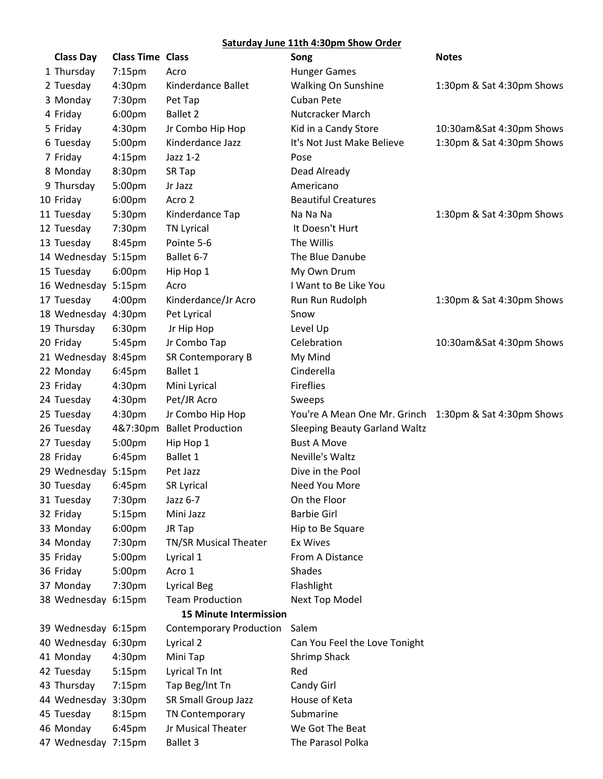## **Saturday June 11th 4:30pm Show Order**

| <b>Class Day</b>    | <b>Class Time Class</b> |                                | Song                                                   | <b>Notes</b>              |
|---------------------|-------------------------|--------------------------------|--------------------------------------------------------|---------------------------|
| 1 Thursday          | $7:15$ pm               | Acro                           | <b>Hunger Games</b>                                    |                           |
| 2 Tuesday           | 4:30 <sub>pm</sub>      | Kinderdance Ballet             | Walking On Sunshine                                    | 1:30pm & Sat 4:30pm Shows |
| 3 Monday            | 7:30pm                  | Pet Tap                        | <b>Cuban Pete</b>                                      |                           |
| 4 Friday            | 6:00 <sub>pm</sub>      | <b>Ballet 2</b>                | Nutcracker March                                       |                           |
| 5 Friday            | 4:30pm                  | Jr Combo Hip Hop               | Kid in a Candy Store                                   | 10:30am&Sat 4:30pm Shows  |
| 6 Tuesday           | 5:00pm                  | Kinderdance Jazz               | It's Not Just Make Believe                             | 1:30pm & Sat 4:30pm Shows |
| 7 Friday            | 4:15 <sub>pm</sub>      | Jazz 1-2                       | Pose                                                   |                           |
| 8 Monday            | 8:30pm                  | SR Tap                         | Dead Already                                           |                           |
| 9 Thursday          | 5:00pm                  | Jr Jazz                        | Americano                                              |                           |
| 10 Friday           | 6:00pm                  | Acro 2                         | <b>Beautiful Creatures</b>                             |                           |
| 11 Tuesday          | 5:30pm                  | Kinderdance Tap                | Na Na Na                                               | 1:30pm & Sat 4:30pm Shows |
| 12 Tuesday          | 7:30pm                  | <b>TN Lyrical</b>              | It Doesn't Hurt                                        |                           |
| 13 Tuesday          | 8:45pm                  | Pointe 5-6                     | The Willis                                             |                           |
| 14 Wednesday 5:15pm |                         | Ballet 6-7                     | The Blue Danube                                        |                           |
| 15 Tuesday          | 6:00 <sub>pm</sub>      | Hip Hop 1                      | My Own Drum                                            |                           |
| 16 Wednesday 5:15pm |                         | Acro                           | I Want to Be Like You                                  |                           |
| 17 Tuesday          | 4:00pm                  | Kinderdance/Jr Acro            | Run Run Rudolph                                        | 1:30pm & Sat 4:30pm Shows |
| 18 Wednesday 4:30pm |                         | Pet Lyrical                    | Snow                                                   |                           |
| 19 Thursday         | 6:30pm                  | Jr Hip Hop                     | Level Up                                               |                           |
| 20 Friday           | 5:45pm                  | Jr Combo Tap                   | Celebration                                            | 10:30am&Sat 4:30pm Shows  |
| 21 Wednesday 8:45pm |                         | SR Contemporary B              | My Mind                                                |                           |
| 22 Monday           | 6:45pm                  | Ballet 1                       | Cinderella                                             |                           |
| 23 Friday           | 4:30pm                  | Mini Lyrical                   | <b>Fireflies</b>                                       |                           |
| 24 Tuesday          | 4:30pm                  | Pet/JR Acro                    | Sweeps                                                 |                           |
| 25 Tuesday          | 4:30pm                  | Jr Combo Hip Hop               | You're A Mean One Mr. Grinch 1:30pm & Sat 4:30pm Shows |                           |
| 26 Tuesday          | 4&7:30pm                | <b>Ballet Production</b>       | <b>Sleeping Beauty Garland Waltz</b>                   |                           |
| 27 Tuesday          | 5:00pm                  | Hip Hop 1                      | <b>Bust A Move</b>                                     |                           |
| 28 Friday           | 6:45pm                  | Ballet 1                       | Neville's Waltz                                        |                           |
| 29 Wednesday        | 5:15 <sub>pm</sub>      | Pet Jazz                       | Dive in the Pool                                       |                           |
| 30 Tuesday          | 6:45pm                  | <b>SR Lyrical</b>              | Need You More                                          |                           |
| 31 Tuesday          | 7:30pm                  | Jazz 6-7                       | On the Floor                                           |                           |
| 32 Friday           | 5:15 <sub>pm</sub>      | Mini Jazz                      | <b>Barbie Girl</b>                                     |                           |
| 33 Monday           | 6:00 <sub>pm</sub>      | JR Tap                         | Hip to Be Square                                       |                           |
| 34 Monday           | 7:30pm                  | <b>TN/SR Musical Theater</b>   | Ex Wives                                               |                           |
| 35 Friday           | 5:00pm                  | Lyrical 1                      | From A Distance                                        |                           |
| 36 Friday           | 5:00pm                  | Acro 1                         | Shades                                                 |                           |
| 37 Monday           | 7:30pm                  | <b>Lyrical Beg</b>             | Flashlight                                             |                           |
| 38 Wednesday 6:15pm |                         | <b>Team Production</b>         | Next Top Model                                         |                           |
|                     |                         | <b>15 Minute Intermission</b>  |                                                        |                           |
| 39 Wednesday 6:15pm |                         | <b>Contemporary Production</b> | Salem                                                  |                           |
| 40 Wednesday 6:30pm |                         | Lyrical 2                      | Can You Feel the Love Tonight                          |                           |
| 41 Monday           | 4:30pm                  | Mini Tap                       | Shrimp Shack                                           |                           |
| 42 Tuesday          | 5:15 <sub>pm</sub>      | Lyrical Tn Int                 | Red                                                    |                           |
| 43 Thursday         | 7:15 <sub>pm</sub>      | Tap Beg/Int Tn                 | Candy Girl                                             |                           |
| 44 Wednesday 3:30pm |                         | SR Small Group Jazz            | House of Keta                                          |                           |
| 45 Tuesday          | 8:15pm                  | TN Contemporary                | Submarine                                              |                           |
| 46 Monday           | 6:45pm                  | Jr Musical Theater             | We Got The Beat                                        |                           |
| 47 Wednesday 7:15pm |                         | <b>Ballet 3</b>                | The Parasol Polka                                      |                           |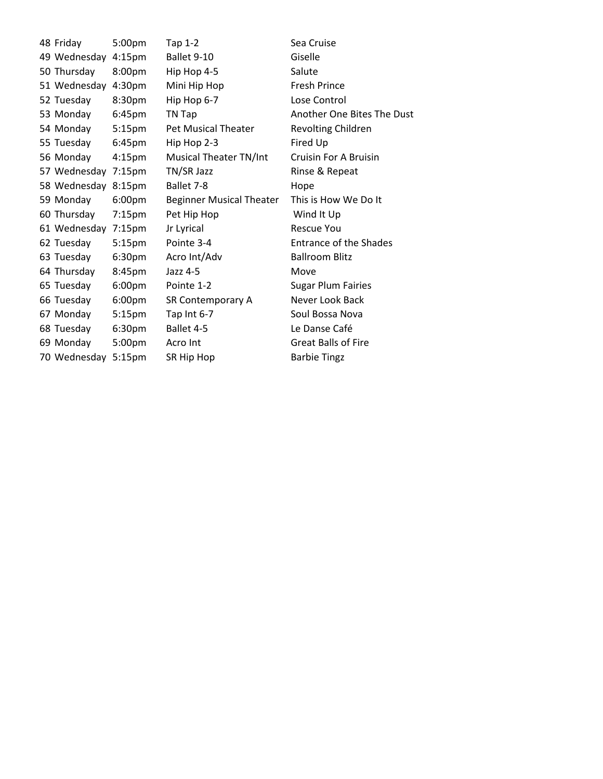| 48 Friday    | 5:00pm             | Tap 1-2                         | Sea Cruise                 |
|--------------|--------------------|---------------------------------|----------------------------|
| 49 Wednesday | 4:15 <sub>pm</sub> | Ballet 9-10                     | Giselle                    |
| 50 Thursday  | 8:00pm             | Hip Hop 4-5                     | Salute                     |
| 51 Wednesday | 4:30 <sub>pm</sub> | Mini Hip Hop                    | <b>Fresh Prince</b>        |
| 52 Tuesday   | 8:30 <sub>pm</sub> | Hip Hop 6-7                     | Lose Control               |
| 53 Monday    | 6:45 <sub>pm</sub> | TN Tap                          | Another One Bites The Dust |
| 54 Monday    | 5:15 <sub>pm</sub> | <b>Pet Musical Theater</b>      | Revolting Children         |
| 55 Tuesday   | 6:45 <sub>pm</sub> | Hip Hop 2-3                     | Fired Up                   |
| 56 Monday    | 4:15 <sub>pm</sub> | Musical Theater TN/Int          | Cruisin For A Bruisin      |
| 57 Wednesday | 7:15pm             | TN/SR Jazz                      | Rinse & Repeat             |
| 58 Wednesday | 8:15pm             | Ballet 7-8                      | Hope                       |
| 59 Monday    | 6:00 <sub>pm</sub> | <b>Beginner Musical Theater</b> | This is How We Do It       |
| 60 Thursday  | $7:15$ pm          | Pet Hip Hop                     | Wind It Up                 |
| 61 Wednesday | $7:15$ pm          | Jr Lyrical                      | <b>Rescue You</b>          |
| 62 Tuesday   | 5:15 <sub>pm</sub> | Pointe 3-4                      | Entrance of the Shades     |
| 63 Tuesday   | 6:30 <sub>pm</sub> | Acro Int/Adv                    | <b>Ballroom Blitz</b>      |
| 64 Thursday  | 8:45pm             | Jazz 4-5                        | Move                       |
| 65 Tuesday   | 6:00pm             | Pointe 1-2                      | <b>Sugar Plum Fairies</b>  |
| 66 Tuesday   | 6:00pm             | SR Contemporary A               | Never Look Back            |
| 67 Monday    | 5:15 <sub>pm</sub> | Tap Int 6-7                     | Soul Bossa Nova            |
| 68 Tuesday   | 6:30 <sub>pm</sub> | Ballet 4-5                      | Le Danse Café              |
| 69 Monday    | 5:00pm             | Acro Int                        | <b>Great Balls of Fire</b> |
| 70 Wednesday | 5:15 <sub>pm</sub> | SR Hip Hop                      | <b>Barbie Tingz</b>        |
|              |                    |                                 |                            |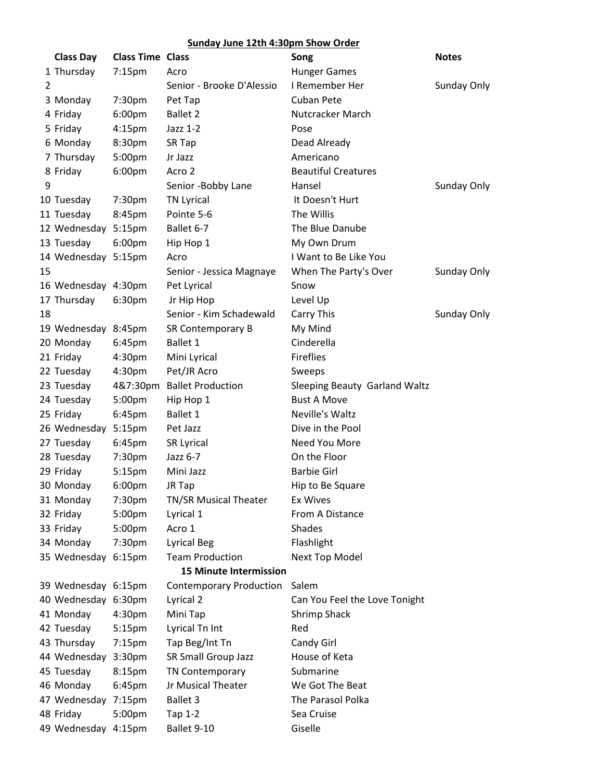## **Sunday June 12th 4:30pm Show Order**

|    | <b>Class Day</b>    | <b>Class Time Class</b> |                                | Song                          | <b>Notes</b> |
|----|---------------------|-------------------------|--------------------------------|-------------------------------|--------------|
|    | 1 Thursday          | 7:15pm                  | Acro                           | <b>Hunger Games</b>           |              |
| 2  |                     |                         | Senior - Brooke D'Alessio      | I Remember Her                | Sunday Only  |
|    | 3 Monday            | 7:30pm                  | Pet Tap                        | <b>Cuban Pete</b>             |              |
|    | 4 Friday            | 6:00pm                  | <b>Ballet 2</b>                | Nutcracker March              |              |
|    | 5 Friday            | 4:15pm                  | Jazz 1-2                       | Pose                          |              |
|    | 6 Monday            | 8:30pm                  | SR Tap                         | Dead Already                  |              |
|    | 7 Thursday          | 5:00pm                  | Jr Jazz                        | Americano                     |              |
|    | 8 Friday            | 6:00pm                  | Acro 2                         | <b>Beautiful Creatures</b>    |              |
| 9  |                     |                         | Senior -Bobby Lane             | Hansel                        | Sunday Only  |
|    | 10 Tuesday          | 7:30pm                  | <b>TN Lyrical</b>              | It Doesn't Hurt               |              |
|    | 11 Tuesday          | 8:45pm                  | Pointe 5-6                     | The Willis                    |              |
|    | 12 Wednesday        | 5:15pm                  | Ballet 6-7                     | The Blue Danube               |              |
|    | 13 Tuesday          | 6:00pm                  | Hip Hop 1                      | My Own Drum                   |              |
|    | 14 Wednesday 5:15pm |                         | Acro                           | I Want to Be Like You         |              |
| 15 |                     |                         | Senior - Jessica Magnaye       | When The Party's Over         | Sunday Only  |
|    | 16 Wednesday 4:30pm |                         | Pet Lyrical                    | Snow                          |              |
|    | 17 Thursday         | 6:30pm                  | Jr Hip Hop                     | Level Up                      |              |
| 18 |                     |                         | Senior - Kim Schadewald        | Carry This                    | Sunday Only  |
|    | 19 Wednesday 8:45pm |                         | SR Contemporary B              | My Mind                       |              |
|    | 20 Monday           | 6:45pm                  | <b>Ballet 1</b>                | Cinderella                    |              |
|    | 21 Friday           | 4:30pm                  | Mini Lyrical                   | <b>Fireflies</b>              |              |
|    | 22 Tuesday          | 4:30pm                  | Pet/JR Acro                    | Sweeps                        |              |
|    | 23 Tuesday          | 4&7:30pm                | <b>Ballet Production</b>       | Sleeping Beauty Garland Waltz |              |
|    | 24 Tuesday          | 5:00pm                  | Hip Hop 1                      | <b>Bust A Move</b>            |              |
|    | 25 Friday           | 6:45pm                  | <b>Ballet 1</b>                | Neville's Waltz               |              |
|    | 26 Wednesday        | 5:15 <sub>pm</sub>      | Pet Jazz                       | Dive in the Pool              |              |
|    | 27 Tuesday          | 6:45pm                  | SR Lyrical                     | Need You More                 |              |
|    | 28 Tuesday          | 7:30pm                  | Jazz 6-7                       | On the Floor                  |              |
|    | 29 Friday           | 5:15pm                  | Mini Jazz                      | <b>Barbie Girl</b>            |              |
|    | 30 Monday           | 6:00pm                  | JR Tap                         | Hip to Be Square              |              |
|    | 31 Monday           | 7:30pm                  | <b>TN/SR Musical Theater</b>   | <b>Ex Wives</b>               |              |
|    | 32 Friday           | 5:00pm                  | Lyrical 1                      | From A Distance               |              |
|    | 33 Friday           | 5:00pm                  | Acro 1                         | Shades                        |              |
|    | 34 Monday           | 7:30pm                  | <b>Lyrical Beg</b>             | Flashlight                    |              |
|    | 35 Wednesday 6:15pm |                         | <b>Team Production</b>         | <b>Next Top Model</b>         |              |
|    |                     |                         | <b>15 Minute Intermission</b>  |                               |              |
|    | 39 Wednesday 6:15pm |                         | <b>Contemporary Production</b> | Salem                         |              |
|    | 40 Wednesday 6:30pm |                         | Lyrical 2                      | Can You Feel the Love Tonight |              |
|    | 41 Monday           | 4:30pm                  | Mini Tap                       | <b>Shrimp Shack</b>           |              |
|    | 42 Tuesday          | 5:15pm                  | Lyrical Tn Int                 | Red                           |              |
|    | 43 Thursday         | 7:15pm                  | Tap Beg/Int Tn                 | Candy Girl                    |              |
|    | 44 Wednesday 3:30pm |                         | SR Small Group Jazz            | House of Keta                 |              |
|    | 45 Tuesday          | 8:15pm                  | TN Contemporary                | Submarine                     |              |
|    | 46 Monday           | 6:45pm                  | Jr Musical Theater             | We Got The Beat               |              |
|    | 47 Wednesday        | 7:15pm                  | <b>Ballet 3</b>                | The Parasol Polka             |              |
|    | 48 Friday           | 5:00pm                  | Tap 1-2                        | Sea Cruise                    |              |
|    | 49 Wednesday 4:15pm |                         | Ballet 9-10                    | Giselle                       |              |
|    |                     |                         |                                |                               |              |